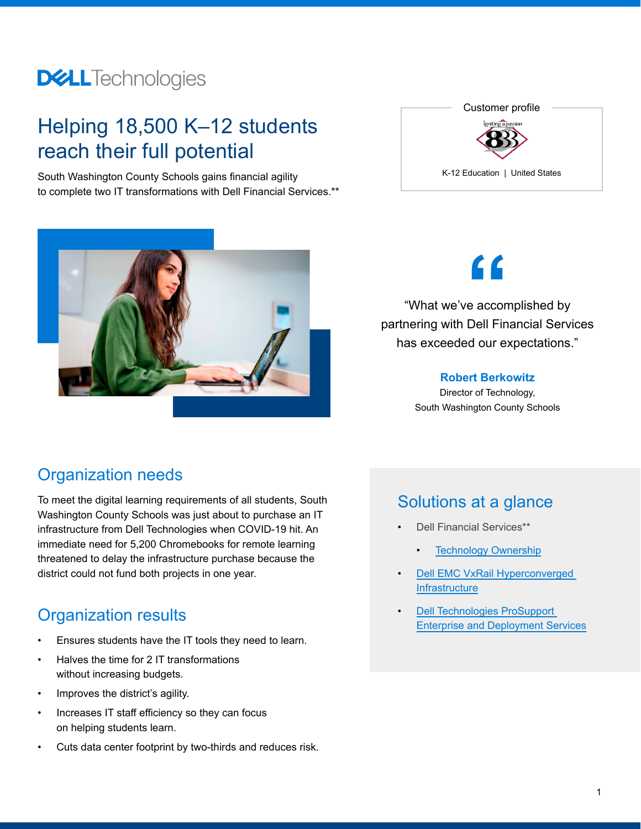## **DELL**Technologies

## Helping 18,500 K–12 students reach their full potential

South Washington County Schools gains financial agility to complete two IT transformations with Dell Financial Services.\*\*





"What we've accomplished by partnering with Dell Financial Services has exceeded our expectations." e accord<br>Dell Fin

### **Robert Berkowitz**

Director of Technology, South Washington County Schools

### Organization needs

To meet the digital learning requirements of all students, South Washington County Schools was just about to purchase an IT infrastructure from Dell Technologies when COVID-19 hit. An immediate need for 5,200 Chromebooks for remote learning threatened to delay the infrastructure purchase because the district could not fund both projects in one year.

## Organization results

- Ensures students have the IT tools they need to learn.
- Halves the time for 2 IT transformations without increasing budgets.
- Improves the district's agility.
- Increases IT staff efficiency so they can focus on helping students learn.
- Cuts data center footprint by two-thirds and reduces risk.

## Solutions at a glance

- [Dell Financial Services](https://www.delltechnologies.com/en-us/payment-solutions/index.htm#scroll=off)\*\*
	- **[Technology Ownership](https://www.delltechnologies.com/en-us/payment-solutions/leasing.htm#scroll=off&accordion0)**
- [Dell EMC VxRail Hyperconverged](https://www.delltechnologies.com/en-us/converged-infrastructure/vxrail/index.htm#scroll=off&accordion0)  **[Infrastructure](https://www.delltechnologies.com/en-us/converged-infrastructure/vxrail/index.htm#scroll=off&accordion0)**
- [Dell Technologies ProSupport](https://www.delltechnologies.com/en-us/service-providers/index.htm#scroll=off)  [Enterprise and Deployment Services](https://www.delltechnologies.com/en-us/service-providers/index.htm#scroll=off)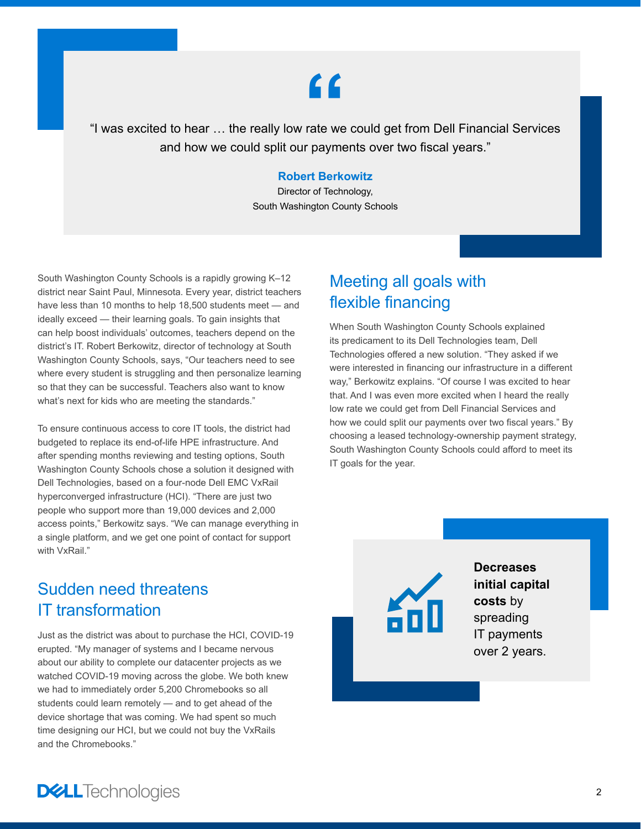# **"**

"I was excited to hear … the really low rate we could get from Dell Financial Services and how we could split our payments over two fiscal years."

#### **Robert Berkowitz**

Director of Technology, South Washington County Schools

South Washington County Schools is a rapidly growing K–12 district near Saint Paul, Minnesota. Every year, district teachers have less than 10 months to help 18,500 students meet — and ideally exceed — their learning goals. To gain insights that can help boost individuals' outcomes, teachers depend on the district's IT. Robert Berkowitz, director of technology at South Washington County Schools, says, "Our teachers need to see where every student is struggling and then personalize learning so that they can be successful. Teachers also want to know what's next for kids who are meeting the standards."

To ensure continuous access to core IT tools, the district had budgeted to replace its end-of-life HPE infrastructure. And after spending months reviewing and testing options, South Washington County Schools chose a solution it designed with Dell Technologies, based on a four-node Dell EMC VxRail hyperconverged infrastructure (HCI). "There are just two people who support more than 19,000 devices and 2,000 access points," Berkowitz says. "We can manage everything in a single platform, and we get one point of contact for support with VxRail."

## Meeting all goals with flexible financing

When South Washington County Schools explained its predicament to its Dell Technologies team, Dell Technologies offered a new solution. "They asked if we were interested in financing our infrastructure in a different way," Berkowitz explains. "Of course I was excited to hear that. And I was even more excited when I heard the really low rate we could get from Dell Financial Services and how we could split our payments over two fiscal years." By choosing a leased technology-ownership payment strategy, South Washington County Schools could afford to meet its IT goals for the year.

## Sudden need threatens IT transformation

Just as the district was about to purchase the HCI, COVID-19 erupted. "My manager of systems and I became nervous about our ability to complete our datacenter projects as we watched COVID-19 moving across the globe. We both knew we had to immediately order 5,200 Chromebooks so all students could learn remotely — and to get ahead of the device shortage that was coming. We had spent so much time designing our HCI, but we could not buy the VxRails and the Chromebooks."

**Decreases initial capital costs** by spreading IT payments over 2 years.

**DELL**Technologies